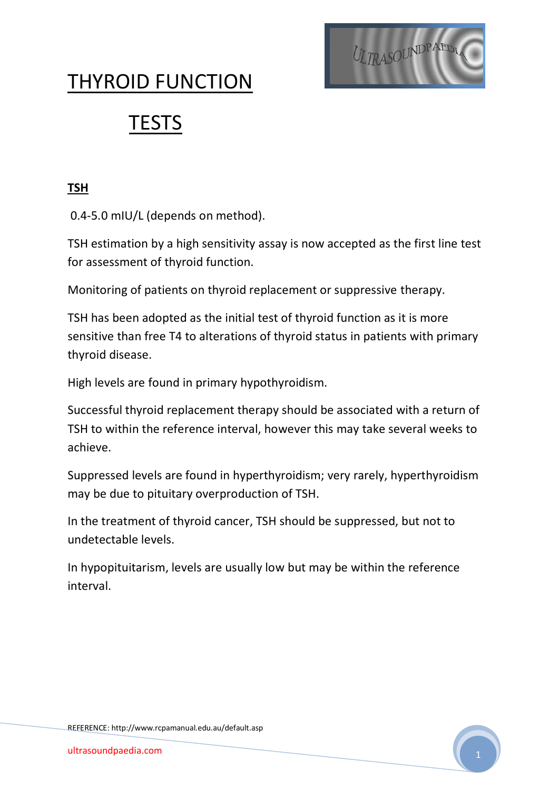

## THYROID FUNCTION

# **TESTS**

#### **TSH**

0.4-5.0 mIU/L (depends on method).

TSH estimation by a high sensitivity assay is now accepted as the first line test for assessment of thyroid function.

Monitoring of patients on thyroid replacement or suppressive therapy.

TSH has been adopted as the initial test of thyroid function as it is more sensitive than free T4 to alterations of thyroid status in patients with primary thyroid disease.

High levels are found in primary hypothyroidism.

Successful thyroid replacement therapy should be associated with a return of TSH to within the reference interval, however this may take several weeks to achieve.

Suppressed levels are found in hyperthyroidism; very rarely, hyperthyroidism may be due to pituitary overproduction of TSH.

In the treatment of thyroid cancer, TSH should be suppressed, but not to undetectable levels.

In hypopituitarism, levels are usually low but may be within the reference interval.